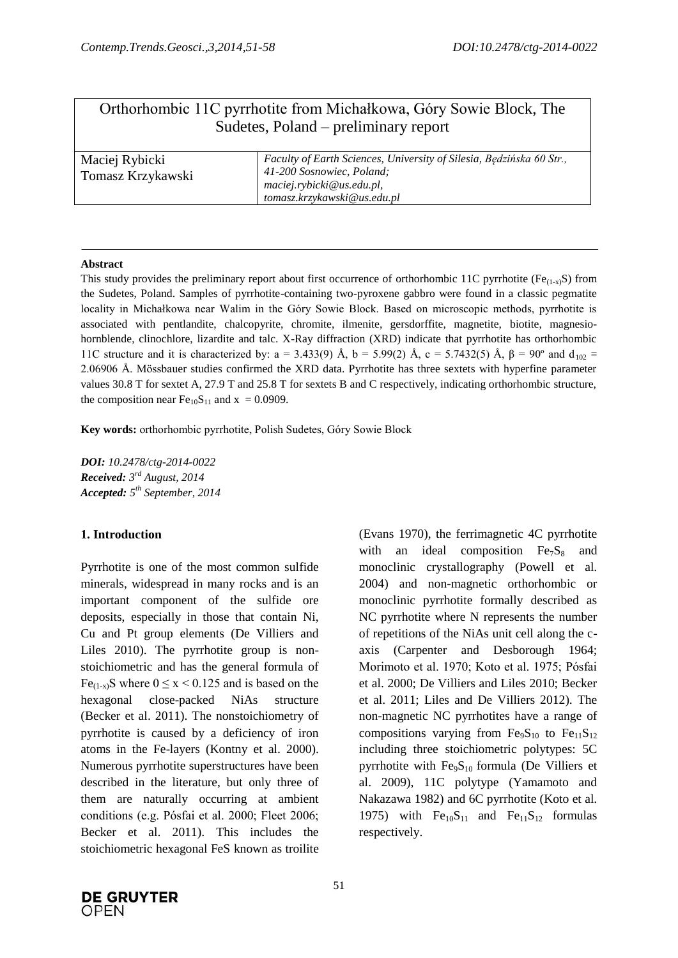# Orthorhombic 11C pyrrhotite from Michałkowa, Góry Sowie Block, The Sudetes, Poland – preliminary report

| Maciej Rybicki    | Faculty of Earth Sciences, University of Silesia, Będzińska 60 Str., |  |
|-------------------|----------------------------------------------------------------------|--|
| Tomasz Krzykawski | 41-200 Sosnowiec, Poland;                                            |  |
|                   | maciej.rybicki@us.edu.pl,                                            |  |
|                   | tomasz.krzykawski@us.edu.pl                                          |  |

### **Abstract**

This study provides the preliminary report about first occurrence of orthorhombic 11C pyrrhotite ( $Fe_{(1-x)}S$ ) from the Sudetes, Poland. Samples of pyrrhotite-containing two-pyroxene gabbro were found in a classic pegmatite locality in Michałkowa near Walim in the Góry Sowie Block. Based on microscopic methods, pyrrhotite is associated with pentlandite, chalcopyrite, chromite, ilmenite, gersdorffite, magnetite, biotite, magnesiohornblende, clinochlore, lizardite and talc. X-Ray diffraction (XRD) indicate that pyrrhotite has orthorhombic 11C structure and it is characterized by: a = 3.433(9) Å, b = 5.99(2) Å, c = 5.7432(5) Å, β = 90° and d<sub>102</sub> = 2.06906 Å. Mössbauer studies confirmed the XRD data. Pyrrhotite has three sextets with hyperfine parameter values 30.8 T for sextet A, 27.9 T and 25.8 T for sextets B and C respectively, indicating orthorhombic structure, the composition near  $Fe<sub>10</sub>S<sub>11</sub>$  and  $x = 0.0909$ .

**Key words:** orthorhombic pyrrhotite, Polish Sudetes, Góry Sowie Block

*DOI: 10.2478/ctg-2014-0022 Received: 3 rd August, 2014 Accepted: 5 th September, 2014*

### **1. Introduction**

Pyrrhotite is one of the most common sulfide minerals, widespread in many rocks and is an important component of the sulfide ore deposits, especially in those that contain Ni, Cu and Pt group elements (De Villiers and Liles 2010). The pyrrhotite group is nonstoichiometric and has the general formula of Fe<sub>(1-x)</sub>S where  $0 \le x \le 0.125$  and is based on the hexagonal close-packed NiAs structure (Becker et al. 2011). The nonstoichiometry of pyrrhotite is caused by a deficiency of iron atoms in the Fe-layers (Kontny et al. 2000). Numerous pyrrhotite superstructures have been described in the literature, but only three of them are naturally occurring at ambient conditions (e.g. Pósfai et al. 2000; Fleet 2006; Becker et al. 2011). This includes the stoichiometric hexagonal FeS known as troilite

(Evans 1970), the ferrimagnetic 4C pyrrhotite with an ideal composition  $Fe<sub>7</sub>S<sub>8</sub>$  and monoclinic crystallography (Powell et al. 2004) and non-magnetic orthorhombic or monoclinic pyrrhotite formally described as NC pyrrhotite where N represents the number of repetitions of the NiAs unit cell along the caxis (Carpenter and Desborough 1964; Morimoto et al. 1970; Koto et al. 1975; Pósfai et al. 2000; De Villiers and Liles 2010; Becker et al. 2011; Liles and De Villiers 2012). The non-magnetic NC pyrrhotites have a range of compositions varying from  $Fe<sub>9</sub>S<sub>10</sub>$  to  $Fe<sub>11</sub>S<sub>12</sub>$ including three stoichiometric polytypes: 5C pyrrhotite with  $Fe<sub>9</sub>S<sub>10</sub>$  formula (De Villiers et al. 2009), 11C polytype (Yamamoto and Nakazawa 1982) and 6C pyrrhotite (Koto et al. 1975) with  $Fe<sub>10</sub>S<sub>11</sub>$  and  $Fe<sub>11</sub>S<sub>12</sub>$  formulas respectively.

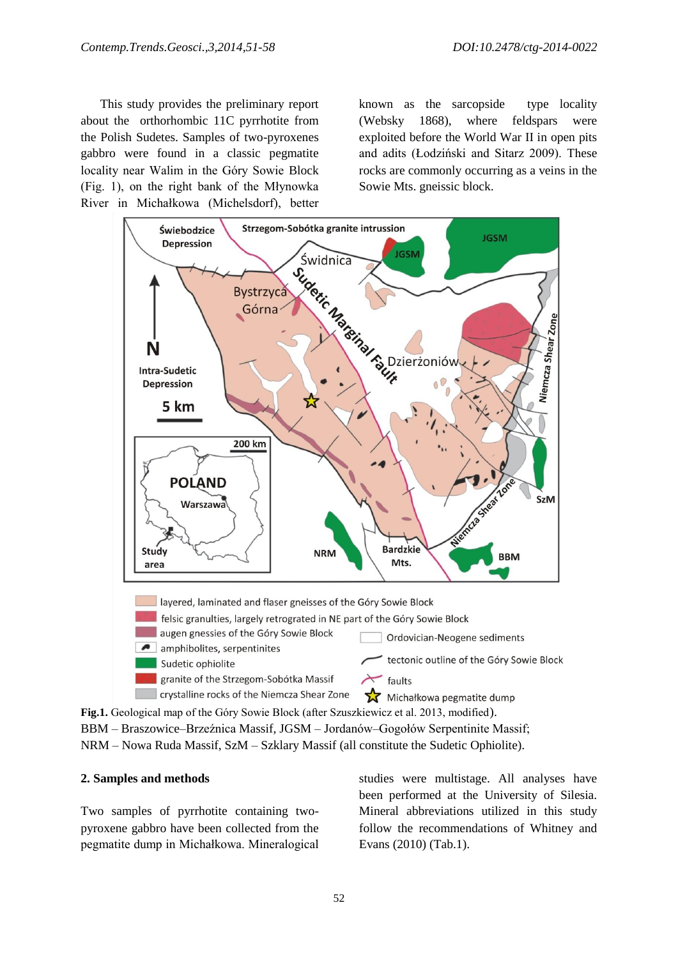This study provides the preliminary report about the orthorhombic 11C pyrrhotite from the Polish Sudetes. Samples of two-pyroxenes gabbro were found in a classic pegmatite locality near Walim in the Góry Sowie Block (Fig. 1), on the right bank of the Młynowka River in Michałkowa (Michelsdorf), better

known as the sarcopside type locality (Websky 1868), where feldspars were exploited before the World War II in open pits and adits (Łodziński and Sitarz 2009). These rocks are commonly occurring as a veins in the Sowie Mts. gneissic block.



**Fig.1.** Geological map of the Góry Sowie Block (after Szuszkiewicz et al. 2013, modified). BBM – Braszowice–Brzeźnica Massif, JGSM – Jordanów–Gogołów Serpentinite Massif; NRM – Nowa Ruda Massif, SzM – Szklary Massif (all constitute the Sudetic Ophiolite).

### **2. Samples and methods**

Two samples of pyrrhotite containing twopyroxene gabbro have been collected from the pegmatite dump in Michałkowa. Mineralogical

studies were multistage. All analyses have been performed at the University of Silesia. Mineral abbreviations utilized in this study follow the recommendations of Whitney and Evans (2010) (Tab.1).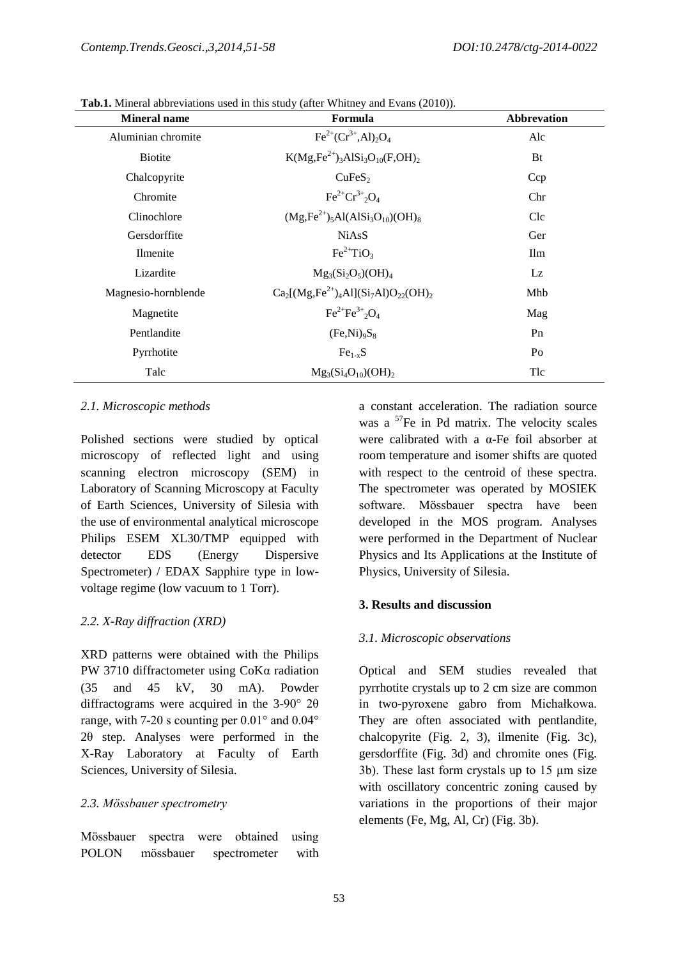| <b>Mineral name</b> | Formula                                        | <b>Abbrevation</b> |  |
|---------------------|------------------------------------------------|--------------------|--|
| Aluminian chromite  | $Fe^{2+}(Cr^{3+}, Al)_2O_4$                    | Alc                |  |
| <b>Biotite</b>      | $K(Mg,Fe^{2+})_3AISi_3O_{10}(F,OH)_2$          | <b>Bt</b>          |  |
| Chalcopyrite        | CuFeS <sub>2</sub>                             | Ccp                |  |
| Chromite            | $Fe^{2+}Cr^{3+}2O_4$                           | Chr                |  |
| Clinochlore         | $(Mg, Fe^{2+})_5 Al(AlSi3O10)(OH)8$            | Clc                |  |
| Gersdorffite        | <b>NiAsS</b>                                   | Ger                |  |
| Ilmenite            | $Fe^{2+}TiO3$                                  | Ilm                |  |
| Lizardite           | $Mg_3(Si_2O_5)(OH)_4$                          | Lz                 |  |
| Magnesio-hornblende | $Ca_2[(Mg,Fe^{2+})_4Al](Si_7Al)O_{22}(OH)_{2}$ | Mhb                |  |
| Magnetite           | $Fe^{2+}Fe^{3+},O_4$                           | Mag                |  |
| Pentlandite         | $(Fe,Ni)_{9}S_8$                               | P <sub>n</sub>     |  |
| Pyrrhotite          | $Fe1-xS$                                       | Po                 |  |
| Talc                | $Mg_3(Si_4O_{10})(OH)_2$                       | Tlc                |  |

**Tab.1.** Mineral abbreviations used in this study (after Whitney and Evans (2010)).

### *2.1. Microscopic methods*

Polished sections were studied by optical microscopy of reflected light and using scanning electron microscopy (SEM) in Laboratory of Scanning Microscopy at Faculty of Earth Sciences, University of Silesia with the use of environmental analytical microscope Philips ESEM XL30/TMP equipped with detector EDS (Energy Dispersive Spectrometer) / EDAX Sapphire type in lowvoltage regime (low vacuum to 1 Torr).

### *2.2. X-Ray diffraction (XRD)*

XRD patterns were obtained with the Philips PW 3710 diffractometer using CoKα radiation (35 and 45 kV, 30 mA). Powder diffractograms were acquired in the 3-90° 2θ range, with 7-20 s counting per 0.01° and 0.04° 2θ step. Analyses were performed in the X-Ray Laboratory at Faculty of Earth Sciences, University of Silesia.

### *2.3. Mössbauer spectrometry*

Mössbauer spectra were obtained using POLON mössbauer spectrometer with a constant acceleration. The radiation source was a  $57$ Fe in Pd matrix. The velocity scales were calibrated with a α-Fe foil absorber at room temperature and isomer shifts are quoted with respect to the centroid of these spectra. The spectrometer was operated by MOSIEK software. Mössbauer spectra have been developed in the MOS program. Analyses were performed in the Department of Nuclear Physics and Its Applications at the Institute of Physics, University of Silesia.

### **3. Results and discussion**

### *3.1. Microscopic observations*

Optical and SEM studies revealed that pyrrhotite crystals up to 2 cm size are common in two-pyroxene gabro from Michałkowa. They are often associated with pentlandite, chalcopyrite (Fig. 2, 3), ilmenite (Fig. 3c), gersdorffite (Fig. 3d) and chromite ones (Fig. 3b). These last form crystals up to 15 µm size with oscillatory concentric zoning caused by variations in the proportions of their major elements (Fe, Mg, Al, Cr) (Fig. 3b).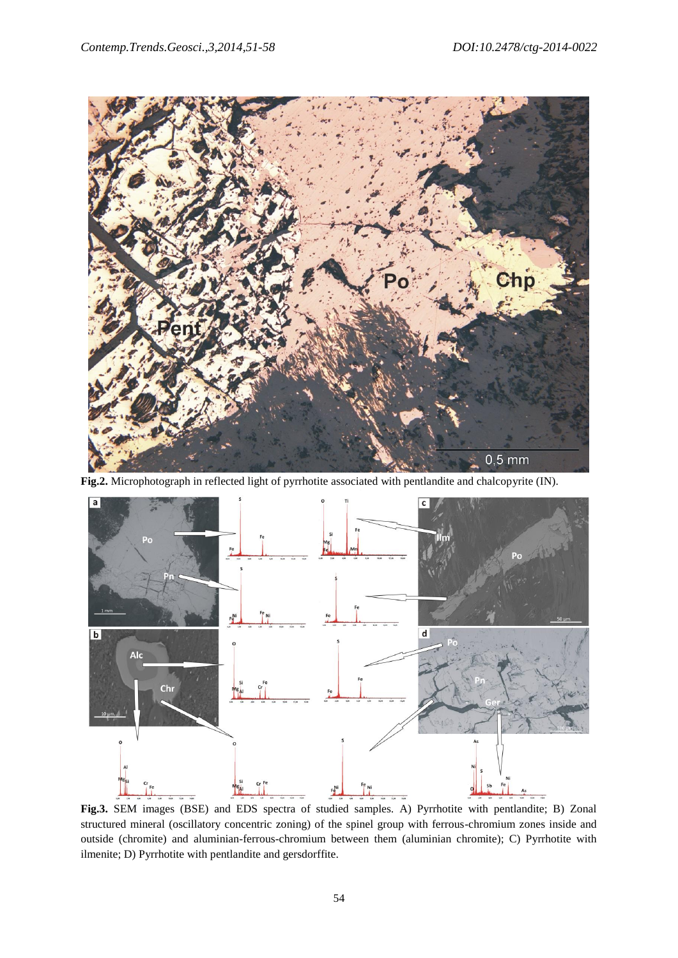

**Fig.2.** Microphotograph in reflected light of pyrrhotite associated with pentlandite and chalcopyrite (IN).



**Fig.3.** SEM images (BSE) and EDS spectra of studied samples. A) Pyrrhotite with pentlandite; B) Zonal structured mineral (oscillatory concentric zoning) of the spinel group with ferrous-chromium zones inside and outside (chromite) and aluminian-ferrous-chromium between them (aluminian chromite); C) Pyrrhotite with ilmenite; D) Pyrrhotite with pentlandite and gersdorffite.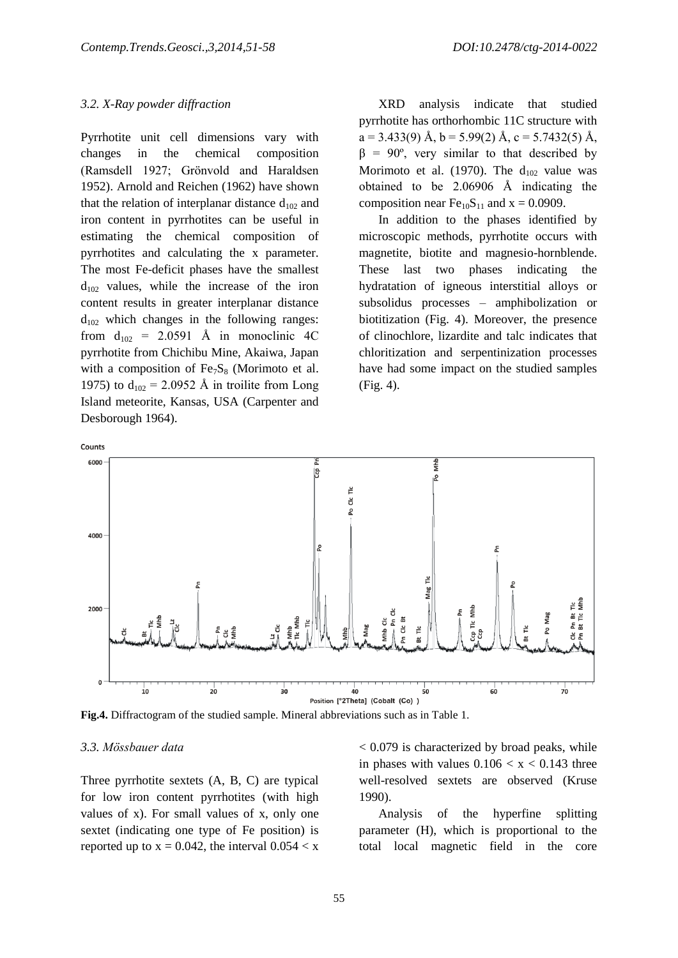#### *3.2. X-Ray powder diffraction*

Pyrrhotite unit cell dimensions vary with changes in the chemical composition (Ramsdell 1927; Grönvold and Haraldsen 1952). Arnold and Reichen (1962) have shown that the relation of interplanar distance  $d_{102}$  and iron content in pyrrhotites can be useful in estimating the chemical composition of pyrrhotites and calculating the x parameter. The most Fe-deficit phases have the smallest  $d_{102}$  values, while the increase of the iron content results in greater interplanar distance  $d_{102}$  which changes in the following ranges: from  $d_{102}$  = 2.0591 Å in monoclinic 4C pyrrhotite from Chichibu Mine, Akaiwa, Japan with a composition of  $Fe<sub>7</sub>S<sub>8</sub>$  (Morimoto et al. 1975) to  $d_{102} = 2.0952$  Å in troilite from Long Island meteorite, Kansas, USA (Carpenter and Desborough 1964).

XRD analysis indicate that studied pyrrhotite has orthorhombic 11C structure with  $a = 3.433(9)$  Å,  $b = 5.99(2)$  Å,  $c = 5.7432(5)$  Å,  $β = 90°$ , very similar to that described by Morimoto et al. (1970). The  $d_{102}$  value was obtained to be 2.06906 Å indicating the composition near  $Fe<sub>10</sub>S<sub>11</sub>$  and  $x = 0.0909$ .

In addition to the phases identified by microscopic methods, pyrrhotite occurs with magnetite, biotite and magnesio-hornblende. These last two phases indicating the hydratation of igneous interstitial alloys or subsolidus processes – amphibolization or biotitization (Fig. 4). Moreover, the presence of clinochlore, lizardite and talc indicates that chloritization and serpentinization processes have had some impact on the studied samples (Fig. 4).



**Fig.4.** Diffractogram of the studied sample. Mineral abbreviations such as in Table 1.

#### *3.3. Mössbauer data*

Three pyrrhotite sextets (A, B, C) are typical for low iron content pyrrhotites (with high values of x). For small values of x, only one sextet (indicating one type of Fe position) is reported up to  $x = 0.042$ , the interval  $0.054 < x$ 

< 0.079 is characterized by broad peaks, while in phases with values  $0.106 < x < 0.143$  three well-resolved sextets are observed (Kruse 1990).

Analysis of the hyperfine splitting parameter (H), which is proportional to the total local magnetic field in the core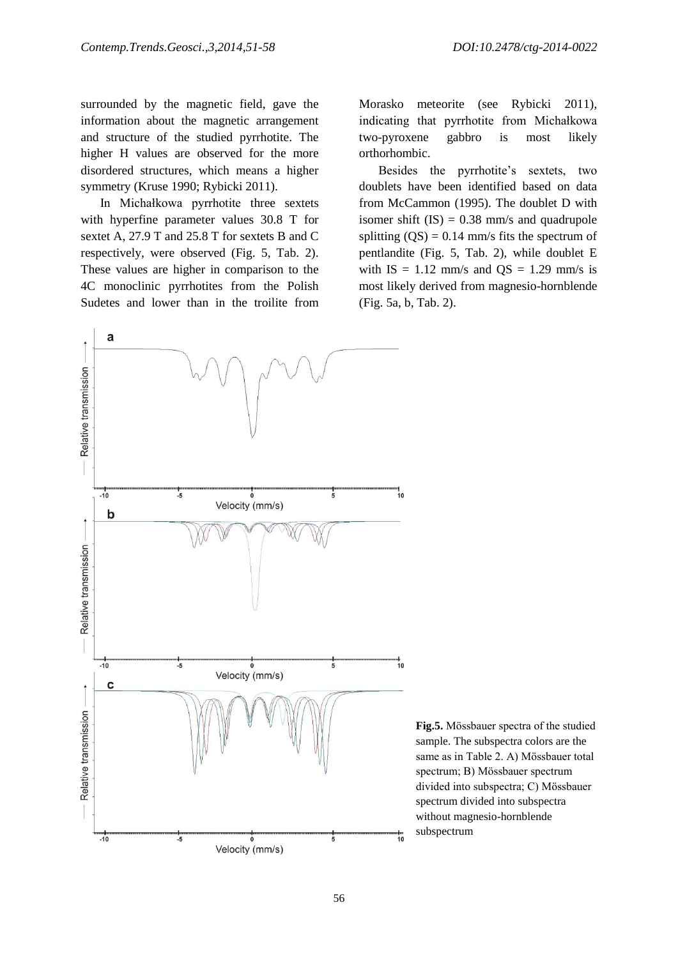surrounded by the magnetic field, gave the information about the magnetic arrangement and structure of the studied pyrrhotite. The higher H values are observed for the more disordered structures, which means a higher symmetry (Kruse 1990; Rybicki 2011).

In Michałkowa pyrrhotite three sextets with hyperfine parameter values 30.8 T for sextet A, 27.9 T and 25.8 T for sextets B and C respectively, were observed (Fig. 5, Tab. 2). These values are higher in comparison to the 4C monoclinic pyrrhotites from the Polish Sudetes and lower than in the troilite from Morasko meteorite (see Rybicki 2011), indicating that pyrrhotite from Michałkowa two-pyroxene gabbro is most likely orthorhombic.

Besides the pyrrhotite's sextets, two doublets have been identified based on data from McCammon (1995). The doublet D with isomer shift  $(IS) = 0.38$  mm/s and quadrupole splitting  $(QS) = 0.14$  mm/s fits the spectrum of pentlandite (Fig. 5, Tab. 2), while doublet E with  $IS = 1.12$  mm/s and  $OS = 1.29$  mm/s is most likely derived from magnesio-hornblende (Fig. 5a, b, Tab. 2).



**Fig.5.** Mössbauer spectra of the studied sample. The subspectra colors are the same as in Table 2. A) Mössbauer total spectrum; B) Mössbauer spectrum divided into subspectra; C) Mössbauer spectrum divided into subspectra without magnesio-hornblende subspectrum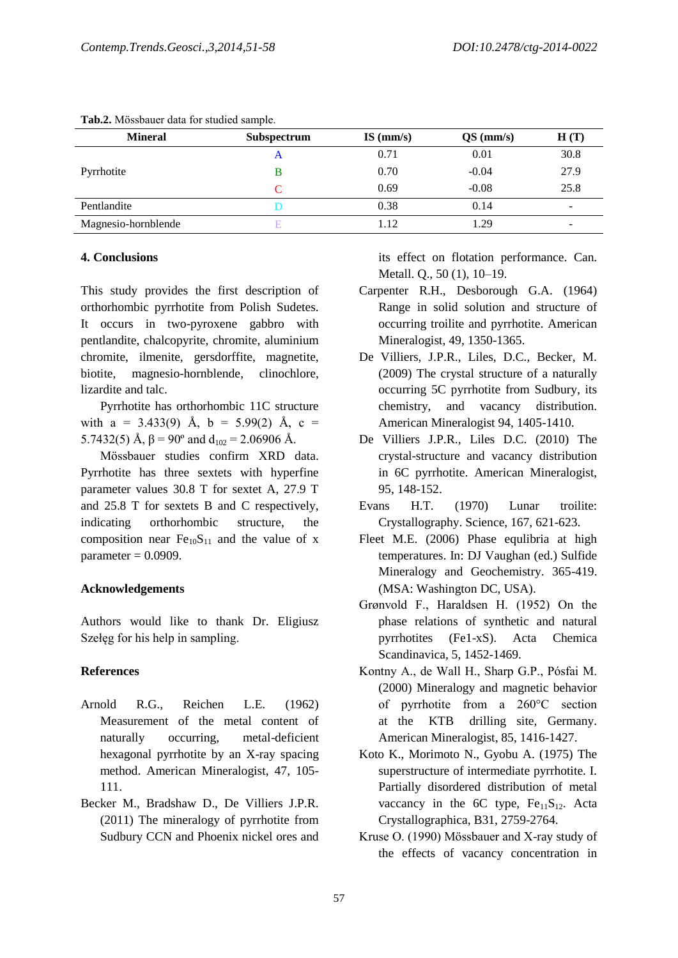| <b>Mineral</b>      | Subspectrum | $IS$ (mm/s) | $QS$ (mm/s) | H(T)                     |
|---------------------|-------------|-------------|-------------|--------------------------|
| Pyrrhotite          | A           | 0.71        | 0.01        | 30.8                     |
|                     |             | 0.70        | $-0.04$     | 27.9                     |
|                     |             | 0.69        | $-0.08$     | 25.8                     |
| Pentlandite         |             | 0.38        | 0.14        | $\overline{\phantom{a}}$ |
| Magnesio-hornblende |             | 1.12        | 1.29        | $\overline{\phantom{0}}$ |

#### **Tab.2.** Mössbauer data for studied sample.

#### **4. Conclusions**

This study provides the first description of orthorhombic pyrrhotite from Polish Sudetes. It occurs in two-pyroxene gabbro with pentlandite, chalcopyrite, chromite, aluminium chromite, ilmenite, gersdorffite, magnetite, biotite, magnesio-hornblende, clinochlore, lizardite and talc.

Pyrrhotite has orthorhombic 11C structure with a = 3.433(9) Å, b = 5.99(2) Å, c = 5.7432(5) Å,  $\beta$  = 90° and d<sub>102</sub> = 2.06906 Å.

Mössbauer studies confirm XRD data. Pyrrhotite has three sextets with hyperfine parameter values 30.8 T for sextet A, 27.9 T and 25.8 T for sextets B and C respectively, indicating orthorhombic structure, the composition near  $Fe<sub>10</sub>S<sub>11</sub>$  and the value of x parameter  $= 0.0909$ .

#### **Acknowledgements**

Authors would like to thank Dr. Eligiusz Szełęg for his help in sampling.

## **References**

- Arnold R.G., Reichen L.E. (1962) Measurement of the metal content of naturally occurring, metal-deficient hexagonal pyrrhotite by an X-ray spacing method. American Mineralogist, 47, 105- 111.
- Becker M., Bradshaw D., De Villiers J.P.R. (2011) The mineralogy of pyrrhotite from Sudbury CCN and Phoenix nickel ores and

its effect on flotation performance. Can. Metall. Q., 50 (1), 10–19.

- Carpenter R.H., Desborough G.A. (1964) Range in solid solution and structure of occurring troilite and pyrrhotite. American Mineralogist, 49, 1350-1365.
- De Villiers, J.P.R., Liles, D.C., Becker, M. (2009) The crystal structure of a naturally occurring 5C pyrrhotite from Sudbury, its chemistry, and vacancy distribution. American Mineralogist 94, 1405-1410.
- De Villiers J.P.R., Liles D.C. (2010) The crystal-structure and vacancy distribution in 6C pyrrhotite. American Mineralogist, 95, 148-152.
- Evans H.T. (1970) Lunar troilite: Crystallography. Science, 167, 621-623.
- Fleet M.E. (2006) Phase equlibria at high temperatures. In: DJ Vaughan (ed.) Sulfide Mineralogy and Geochemistry. 365-419. (MSA: Washington DC, USA).
- Grønvold F., Haraldsen H. (1952) On the phase relations of synthetic and natural pyrrhotites (Fe1-xS). Acta Chemica Scandinavica, 5, 1452-1469.
- Kontny A., de Wall H., Sharp G.P., Pósfai M. (2000) Mineralogy and magnetic behavior of pyrrhotite from a 260°C section at the KTB drilling site, Germany. American Mineralogist, 85, 1416-1427.
- Koto K., Morimoto N., Gyobu A. (1975) The superstructure of intermediate pyrrhotite. I. Partially disordered distribution of metal vaccancy in the  $6C$  type,  $Fe_{11}S_{12}$ . Acta Crystallographica, B31, 2759-2764.
- Kruse O. (1990) Mössbauer and X-ray study of the effects of vacancy concentration in